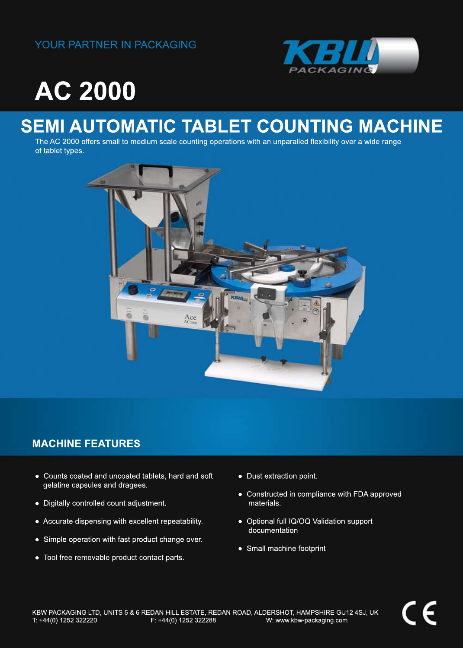#### YOUR PARTNER IN PACKAGING



# **AC2000**

### **SEMI AUTOMATIC TABLET COUNTING MACHINE**

The AC 2000 offers small to medium scale counting operations with an unparalled flexibility over a wide range of tablet types.



### **MACHINE FEATURES**

- Counts coated and uncoated tablets, hard and soft gelatine capsules and dragees.
- Digitally controlled count adjustment.
- Accurate dispensing with excellent repeatability.
- Simple operation with fast product change over.
- Tool free removable product contact parts.
- Dust extraction point.
- Constructed in compliance with FDA approved materials.
- Optional full IQ/OQ Validation support documentation
- Small machine footprint